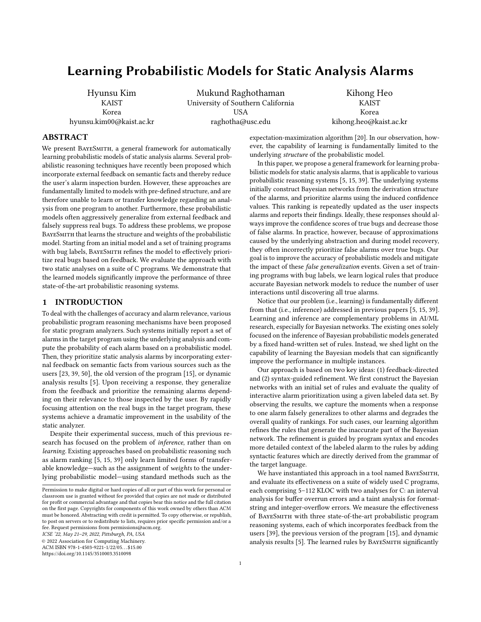# Learning Probabilistic Models for Static Analysis Alarms

Hyunsu Kim **KAIST** Korea hyunsu.kim00@kaist.ac.kr

Mukund Raghothaman University of Southern California USA raghotha@usc.edu

Kihong Heo KAIST Korea kihong.heo@kaist.ac.kr

# ABSTRACT

We present BAYESMITH, a general framework for automatically learning probabilistic models of static analysis alarms. Several probabilistic reasoning techniques have recently been proposed which incorporate external feedback on semantic facts and thereby reduce the user's alarm inspection burden. However, these approaches are fundamentally limited to models with pre-defined structure, and are therefore unable to learn or transfer knowledge regarding an analysis from one program to another. Furthermore, these probabilistic models often aggressively generalize from external feedback and falsely suppress real bugs. To address these problems, we propose BayeSmith that learns the structure and weights of the probabilistic model. Starting from an initial model and a set of training programs with bug labels, BayeSmith refines the model to effectively prioritize real bugs based on feedback. We evaluate the approach with two static analyses on a suite of C programs. We demonstrate that the learned models significantly improve the performance of three state-of-the-art probabilistic reasoning systems.

## 1 INTRODUCTION

To deal with the challenges of accuracy and alarm relevance, various probabilistic program reasoning mechanisms have been proposed for static program analyzers. Such systems initially report a set of alarms in the target program using the underlying analysis and compute the probability of each alarm based on a probabilistic model. Then, they prioritize static analysis alarms by incorporating external feedback on semantic facts from various sources such as the users [\[23,](#page-10-0) [39,](#page-11-0) [50\]](#page-11-1), the old version of the program [\[15\]](#page-10-1), or dynamic analysis results [\[5\]](#page-10-2). Upon receiving a response, they generalize from the feedback and prioritize the remaining alarms depending on their relevance to those inspected by the user. By rapidly focusing attention on the real bugs in the target program, these systems achieve a dramatic improvement in the usability of the static analyzer.

Despite their experimental success, much of this previous research has focused on the problem of inference, rather than on learning. Existing approaches based on probabilistic reasoning such as alarm ranking [\[5,](#page-10-2) [15,](#page-10-1) [39\]](#page-11-0) only learn limited forms of transferable knowledge—such as the assignment of weights to the underlying probabilistic model—using standard methods such as the

ICSE '22, May 21–29, 2022, Pittsburgh, PA, USA

© 2022 Association for Computing Machinery.

ACM ISBN 978-1-4503-9221-1/22/05. . . \$15.00

<https://doi.org/10.1145/3510003.3510098>

expectation-maximization algorithm [\[20\]](#page-10-3). In our observation, however, the capability of learning is fundamentally limited to the underlying structure of the probabilistic model.

In this paper, we propose a general framework for learning probabilistic models for static analysis alarms, that is applicable to various probabilistic reasoning systems [\[5,](#page-10-2) [15,](#page-10-1) [39\]](#page-11-0). The underlying systems initially construct Bayesian networks from the derivation structure of the alarms, and prioritize alarms using the induced confidence values. This ranking is repeatedly updated as the user inspects alarms and reports their findings. Ideally, these responses should always improve the confidence scores of true bugs and decrease those of false alarms. In practice, however, because of approximations caused by the underlying abstraction and during model recovery, they often incorrectly prioritize false alarms over true bugs. Our goal is to improve the accuracy of probabilistic models and mitigate the impact of these false generalization events. Given a set of training programs with bug labels, we learn logical rules that produce accurate Bayesian network models to reduce the number of user interactions until discovering all true alarms.

Notice that our problem (i.e., learning) is fundamentally different from that (i.e., inference) addressed in previous papers [\[5,](#page-10-2) [15,](#page-10-1) [39\]](#page-11-0). Learning and inference are complementary problems in AI/ML research, especially for Bayesian networks. The existing ones solely focused on the inference of Bayesian probabilistic models generated by a fixed hand-written set of rules. Instead, we shed light on the capability of learning the Bayesian models that can significantly improve the performance in multiple instances.

Our approach is based on two key ideas: (1) feedback-directed and (2) syntax-guided refinement. We first construct the Bayesian networks with an initial set of rules and evaluate the quality of interactive alarm prioritization using a given labeled data set. By observing the results, we capture the moments when a response to one alarm falsely generalizes to other alarms and degrades the overall quality of rankings. For such cases, our learning algorithm refines the rules that generate the inaccurate part of the Bayesian network. The refinement is guided by program syntax and encodes more detailed context of the labeled alarm to the rules by adding syntactic features which are directly derived from the grammar of the target language.

We have instantiated this approach in a tool named BAYESMITH, and evaluate its effectiveness on a suite of widely used C programs, each comprising 5–112 KLOC with two analyses for C: an interval analysis for buffer overrun errors and a taint analysis for formatstring and integer-overflow errors. We measure the effectiveness of BayeSmith with three state-of-the-art probabilistic program reasoning systems, each of which incorporates feedback from the users [\[39\]](#page-11-0), the previous version of the program [\[15\]](#page-10-1), and dynamic analysis results [\[5\]](#page-10-2). The learned rules by BAYESMITH significantly

Permission to make digital or hard copies of all or part of this work for personal or classroom use is granted without fee provided that copies are not made or distributed for profit or commercial advantage and that copies bear this notice and the full citation on the first page. Copyrights for components of this work owned by others than ACM must be honored. Abstracting with credit is permitted. To copy otherwise, or republish, to post on servers or to redistribute to lists, requires prior specific permission and/or a fee. Request permissions from permissions@acm.org.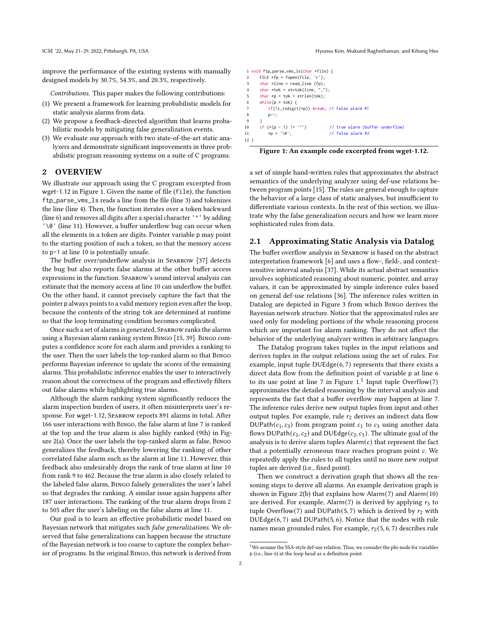improve the performance of the existing systems with manually designed models by 30.7%, 54.3%, and 20.3%, respectively.

Contributions. This paper makes the following contributions:

- (1) We present a framework for learning probabilistic models for static analysis alarms from data.
- (2) We propose a feedback-directed algorithm that learns probabilistic models by mitigating false generalization events.
- (3) We evaluate our approach with two state-of-the-art static analyzers and demonstrate significant improvements in three probabilistic program reasoning systems on a suite of C programs.

# <span id="page-1-9"></span>2 OVERVIEW

We illustrate our approach using the C program excerpted from wget-1.12 in Figure [1.](#page-1-0) Given the name of file (file), the function ftp\_parse\_vms\_ls reads a line from the file (line [3\)](#page-1-1) and tokenizes the line (line [4\)](#page-1-2). Then, the function iterates over a token backward (line [6\)](#page-1-3) and removes all digits after a special character '^' by adding '\0' (line [11\)](#page-1-4). However, a buffer underflow bug can occur when all the elements in a token are digits. Pointer variable p may point to the starting position of such a token, so that the memory access to p-1 at line [10](#page-1-5) is potentially unsafe.

The buffer over/underflow analysis in Sparrow [\[37\]](#page-10-4) detects the bug but also reports false alarms at the other buffer access expressions in the function. Sparrow's sound interval analysis can estimate that the memory access at line [10](#page-1-5) can underflow the buffer. On the other hand, it cannot precisely capture the fact that the pointer p always points to a valid memory region even after the loop, because the contents of the string tok are determined at runtime so that the loop terminating condition becomes complicated.

Once such a set of alarms is generated, Sparrow ranks the alarms using a Bayesian alarm ranking system Bingo [\[15,](#page-10-1) [39\]](#page-11-0). Bingo computes a confidence score for each alarm and provides a ranking to the user. Then the user labels the top-ranked alarm so that Bingo performs Bayesian inference to update the scores of the remaining alarms. This probabilistic inference enables the user to interactively reason about the correctness of the program and effectively filters out false alarms while highlighting true alarms.

Although the alarm ranking system significantly reduces the alarm inspection burden of users, it often misinterprets user's response. For wget-1.12, Sparrow reports 891 alarms in total. After 166 user interactions with Bingo, the false alarm at line [7](#page-1-6) is ranked at the top and the true alarm is also highly ranked (9th) in Figure [2\(a\).](#page-2-0) Once the user labels the top-ranked alarm as false, Bingo generalizes the feedback, thereby lowering the ranking of other correlated false alarm such as the alarm at line [11.](#page-1-4) However, this feedback also undesirably drops the rank of true alarm at line [10](#page-1-5) from rank 9 to 462. Because the true alarm is also closely related to the labeled false alarm, Bingo falsely generalizes the user's label so that degrades the ranking. A similar issue again happens after 187 user interactions. The ranking of the true alarm drops from 2 to 505 after the user's labeling on the false alarm at line [11.](#page-1-4)

Our goal is to learn an effective probabilistic model based on Bayesian network that mitigates such false generalizations. We observed that false generalizations can happen because the structure of the Bayesian network is too coarse to capture the complex behavior of programs. In the original Bingo, this network is derived from

<span id="page-1-8"></span><span id="page-1-6"></span><span id="page-1-3"></span><span id="page-1-2"></span><span id="page-1-1"></span><span id="page-1-0"></span>1 void ftp\_parse\_vms\_ls(char \*file) { 2 FILE  $*$ fp = fopen(file, 'r'); 3 char \*line = read\_line (fp); 4 char \*tok = strtok(line, "␣"); 5 char  $*p = tok + strlen(tok);$ 6 while( $p >$  tok) { 7 if(!c\_isdigit(\*p)) break; // false alarm #1 8 p--; 9 }<br>10 if  $(*(p - 1) != '')$ 10 if  $(*(p - 1) != '')$  // true alarm (buffer underflow)<br>11  $**$   $= ' \times 0':$  // false alarm #2 11  $\star p = ' \sqrt{0'}$ ; // false alarm #2 12 }

<span id="page-1-5"></span><span id="page-1-4"></span>Figure 1: An example code excerpted from wget-1.12.

a set of simple hand-written rules that approximates the abstract semantics of the underlying analyzer using def-use relations between program points [\[15\]](#page-10-1). The rules are general enough to capture the behavior of a large class of static analyses, but insufficient to differentiate various contexts. In the rest of this section, we illustrate why the false generalization occurs and how we learn more sophisticated rules from data.

## 2.1 Approximating Static Analysis via Datalog

The buffer overflow analysis in Sparrow is based on the abstract interpretation framework [\[6\]](#page-10-5) and uses a flow-, field-, and contextsensitive interval analysis [\[37\]](#page-10-4). While its actual abstract semantics involves sophisticated reasoning about numeric, pointer, and array values, it can be approximated by simple inference rules based on general def-use relations [\[36\]](#page-10-6). The inference rules written in Datalog are depicted in Figure [3](#page-2-1) from which Bingo derives the Bayesian network structure. Notice that the approximated rules are used only for modeling portions of the whole reasoning process which are important for alarm ranking. They do not affect the behavior of the underlying analyzer written in arbitrary languages.

The Datalog program takes tuples in the input relations and derives tuples in the output relations using the set of rules. For example, input tuple  $DUEdge(6, 7)$  $DUEdge(6, 7)$  $DUEdge(6, 7)$  $DUEdge(6, 7)$  $DUEdge(6, 7)$  represents that there exists a direct data flow from the definition point of variable p at line [6](#page-1-3) to its use point at line [7](#page-1-6) in Figure  $1<sup>1</sup>$  $1<sup>1</sup>$  Input tuple Overflow([7](#page-1-6)) approximates the detailed reasoning by the interval analysis and represents the fact that a buffer overflow may happen at line [7.](#page-1-6) The inference rules derive new output tuples from input and other output tuples. For example, rule  $r_2$  derives an indirect data flow DUPath( $c_1, c_3$ ) from program point  $c_1$  to  $c_3$  using another data flows DUPath( $c_1, c_2$ ) and DUEdge( $c_2, c_3$ ). The ultimate goal of the analysis is to derive alarm tuples  $\text{Alarm}(c)$  that represent the fact that a potentially erroneous trace reaches program point  $c$ . We repeatedly apply the rules to all tuples until no more new output tuples are derived (i.e., fixed point).

Then we construct a derivation graph that shows all the reasoning steps to derive all alarms. An example derivation graph is shown in Figure [2\(b\)](#page-2-0) that explains how Alarm([7](#page-1-6)) and Alarm([10](#page-1-5)) are derived. For example, Alarm([7](#page-1-6)) is derived by applying  $r_3$  to tuple Overflow([7](#page-1-6)) and DUPath([5](#page-1-8),7) which is derived by  $r_2$  with DUEdge([6](#page-1-3), [7](#page-1-6)) and DUPath([5](#page-1-8), [6](#page-1-3)). Notice that the nodes with rule names mean grounded rules. For example,  $r_2(5, 6, 7)$  $r_2(5, 6, 7)$  $r_2(5, 6, 7)$  $r_2(5, 6, 7)$  $r_2(5, 6, 7)$  $r_2(5, 6, 7)$  $r_2(5, 6, 7)$  describes rule

<span id="page-1-7"></span> $1$ We assume the SSA-style def-use relation. Thus, we consider the phi-node for variables p (i.e., line [6\)](#page-1-3) at the loop head as a definition point.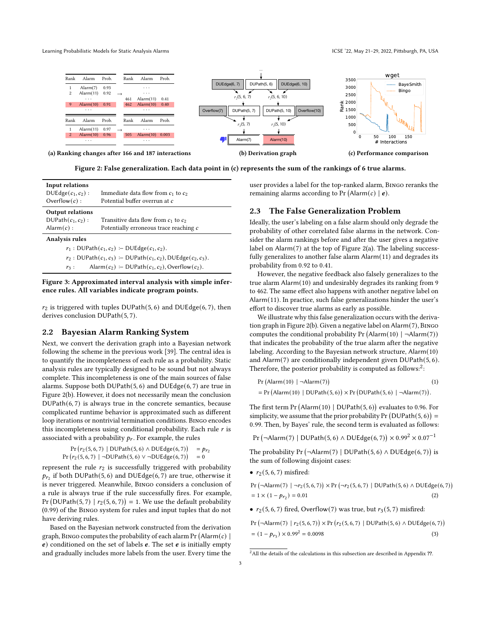Learning Probabilistic Models for Static Analysis Alarms **ICSE 122, May 21-29, 2022, Pittsburgh, PA, USA** 

<span id="page-2-0"></span>

Figure 2: False generalization. Each data point in (c) represents the sum of the rankings of 6 true alarms.

<span id="page-2-1"></span>

| Input relations<br>$DUEdge(c_1, c_2):$<br>Overflow $(c)$ :                | Immediate data flow from $c_1$ to $c_2$<br>Potential buffer overrun at c |  |  |  |  |
|---------------------------------------------------------------------------|--------------------------------------------------------------------------|--|--|--|--|
| <b>Output relations</b>                                                   |                                                                          |  |  |  |  |
| DUPath $(c_1, c_2)$ :                                                     | Transitive data flow from $c_1$ to $c_2$                                 |  |  |  |  |
| Alarm $(c)$ :                                                             | Potentially erroneous trace reaching c                                   |  |  |  |  |
| <b>Analysis rules</b>                                                     |                                                                          |  |  |  |  |
|                                                                           | $r_1: DUPath(c_1, c_2) \text{ -- } DUEdge(c_1, c_2).$                    |  |  |  |  |
| $r_2$ : DUPath $(c_1, c_3)$ : DUPath $(c_1, c_2)$ , DUEdge $(c_2, c_3)$ . |                                                                          |  |  |  |  |
| $r_3$ :                                                                   | Alarm $(c_2)$ : DUPath $(c_1, c_2)$ , Overflow $(c_2)$ .                 |  |  |  |  |
|                                                                           |                                                                          |  |  |  |  |

## Figure 3: Approximated interval analysis with simple inference rules. All variables indicate program points.

 $r_2$  is triggered with tuples DUPath([5](#page-1-8), [6](#page-1-3)) and DUEdge(6, [7](#page-1-6)), then derives conclusion DUPath([5](#page-1-8), [7](#page-1-6)).

# 2.2 Bayesian Alarm Ranking System

Next, we convert the derivation graph into a Bayesian network following the scheme in the previous work [\[39\]](#page-11-0). The central idea is to quantify the incompleteness of each rule as a probability. Static analysis rules are typically designed to be sound but not always complete. This incompleteness is one of the main sources of false alarms. Suppose both DUPath([5](#page-1-8), [6](#page-1-3)) and DUEdge([6](#page-1-3), [7](#page-1-6)) are true in Figure [2\(b\).](#page-2-0) However, it does not necessarily mean the conclusion  $DUPath(6, 7)$  $DUPath(6, 7)$  $DUPath(6, 7)$  $DUPath(6, 7)$  $DUPath(6, 7)$  is always true in the concrete semantics, because complicated runtime behavior is approximated such as different loop iterations or nontrivial termination conditions. Bingo encodes this incompleteness using conditional probability. Each rule  $r$  is associated with a probability  $p_r$ . For example, the rules

$$
\Pr(r_2(5, 6, 7) | DUPath(5, 6) \land DUEdge(6, 7)) = p_{r_2}
$$
\n
$$
\Pr(r_2(5, 6, 7) | \neg DUPath(5, 6) \lor \neg DUEdge(6, 7)) = 0
$$

represent the rule  $r_2$  is successfully triggered with probability  $p_{r_2}$  if both DUPath([5](#page-1-8),[6](#page-1-3)) and DUEdge(6,[7](#page-1-6)) are true, otherwise it is never triggered. Meanwhile, Bingo considers a conclusion of a rule is always true if the rule successfully fires. For example, Pr (DUPath([5](#page-1-8), [7](#page-1-6)) |  $r_2(5, 6, 7)$  $r_2(5, 6, 7)$  $r_2(5, 6, 7)$  = 1. We use the default probability (0.99) of the Bingo system for rules and input tuples that do not have deriving rules.

Based on the Bayesian network constructed from the derivation graph, BINGO computes the probability of each alarm Pr  $(A\text{larm}(c) \mid$  $e$ ) conditioned on the set of labels  $e$ . The set  $e$  is initially empty and gradually includes more labels from the user. Every time the

user provides a label for the top-ranked alarm, Bingo reranks the remaining alarms according to Pr (Alarm(c)  $|e)$ .

## 2.3 The False Generalization Problem

Ideally, the user's labeling on a false alarm should only degrade the probability of other correlated false alarms in the network. Consider the alarm rankings before and after the user gives a negative label on Alarm([7](#page-1-6)) at the top of Figure [2\(a\).](#page-2-0) The labeling successfully generalizes to another false alarm Alarm([11](#page-1-4)) and degrades its probability from 0.92 to 0.41.

However, the negative feedback also falsely generalizes to the true alarm Alarm([10](#page-1-5)) and undesirably degrades its ranking from 9 to 462. The same effect also happens with another negative label on Alarm([11](#page-1-4)). In practice, such false generalizations hinder the user's effort to discover true alarms as early as possible.

We illustrate why this false generalization occurs with the derivation graph in Figure [2\(b\).](#page-2-0) Given a negative label on Alarm([7](#page-1-6)), Bingo computes the conditional probability Pr (Alarm([10](#page-1-5))  $|\neg$ Alarm([7](#page-1-6))) that indicates the probability of the true alarm after the negative labeling. According to the Bayesian network structure, Alarm([10](#page-1-5)) and Alarm([7](#page-1-6)) are conditionally independent given DUPath([5](#page-1-8), [6](#page-1-3)). Therefore, the posterior probability is computed as follows:<sup>[2](#page-2-2)</sup>:

<span id="page-2-5"></span>
$$
Pr(Alarm(10) | \neg Alarm(7))
$$
\n
$$
= Pr(Alarm(10) | DUPat(5,6)) \times Pr(DUPat(5,6) | \neg Alarm(7)).
$$
\n(1)

The first term  $Pr(AIarm(10) | DUPath(5, 6))$  $Pr(AIarm(10) | DUPath(5, 6))$  $Pr(AIarm(10) | DUPath(5, 6))$  $Pr(AIarm(10) | DUPath(5, 6))$  $Pr(AIarm(10) | DUPath(5, 6))$  $Pr(AIarm(10) | DUPath(5, 6))$  $Pr(AIarm(10) | DUPath(5, 6))$  evaluates to 0.96. For simplicity, we assume that the prior probability  $Pr(DUPath(5, 6)) =$  $Pr(DUPath(5, 6)) =$  $Pr(DUPath(5, 6)) =$  $Pr(DUPath(5, 6)) =$  $Pr(DUPath(5, 6)) =$ 0.99. Then, by Bayes' rule, the second term is evaluated as follows:

Pr (¬Alarm([7](#page-1-6)) | DUPath([5](#page-1-8), [6](#page-1-3)) ∧ DUEdge(6, 7)) × 0.99<sup>2</sup> × 0.07<sup>-1</sup>

The probability  $Pr(\neg \text{Alarm}(7) | \text{DUPath}(5, 6) \land \text{DUEdge}(6, 7))$  $Pr(\neg \text{Alarm}(7) | \text{DUPath}(5, 6) \land \text{DUEdge}(6, 7))$  $Pr(\neg \text{Alarm}(7) | \text{DUPath}(5, 6) \land \text{DUEdge}(6, 7))$  $Pr(\neg \text{Alarm}(7) | \text{DUPath}(5, 6) \land \text{DUEdge}(6, 7))$  $Pr(\neg \text{Alarm}(7) | \text{DUPath}(5, 6) \land \text{DUEdge}(6, 7))$  $Pr(\neg \text{Alarm}(7) | \text{DUPath}(5, 6) \land \text{DUEdge}(6, 7))$  $Pr(\neg \text{Alarm}(7) | \text{DUPath}(5, 6) \land \text{DUEdge}(6, 7))$  is the sum of following disjoint cases:

•  $r_2(5, 6, 7)$  $r_2(5, 6, 7)$  $r_2(5, 6, 7)$  $r_2(5, 6, 7)$  $r_2(5, 6, 7)$  $r_2(5, 6, 7)$  $r_2(5, 6, 7)$  misfired:

<span id="page-2-3"></span>
$$
\Pr\left(\neg \text{Alarm}(7) \mid \neg r_2(5,6,7)\right) \times \Pr\left(\neg r_2(5,6,7) \mid \text{DUPath}(5,6) \land \text{DUEdge}(6,7)\right)
$$
\n
$$
= 1 \times (1 - p_{r_2}) = 0.01\tag{2}
$$

•  $r_2$ ([5](#page-1-8), [6](#page-1-3), [7](#page-1-6)) fired, Overflow(7) was true, but  $r_3$ (5, 7) misfired:

<span id="page-2-4"></span>Pr (¬Alarm([7](#page-1-6)) |  $r_2(5,6,7)$  $r_2(5,6,7)$  $r_2(5,6,7)$  $r_2(5,6,7)$  $r_2(5,6,7)$ ) × Pr ( $r_2(5,6,7)$  | DUPath(5,6) ∧ DUEdge(6,7))  $= (1 - p_{r_3}) \times 0.99^2 = 0.0098$  (3)

<span id="page-2-2"></span> $^{2}$  All the details of the calculations in this subsection are described in Appendix ??.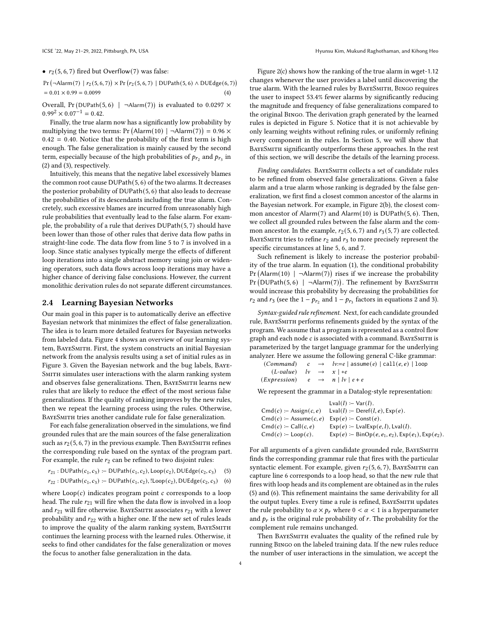•  $r_2(5, 6, 7)$  $r_2(5, 6, 7)$  $r_2(5, 6, 7)$  $r_2(5, 6, 7)$  $r_2(5, 6, 7)$  $r_2(5, 6, 7)$  $r_2(5, 6, 7)$  fired but Overflow(7) was false:

Pr (¬Alarm([7](#page-1-6)) |  $r_2(5,6,7)$  $r_2(5,6,7)$  $r_2(5,6,7)$  $r_2(5,6,7)$  $r_2(5,6,7)$ )  $\times$  Pr ( $r_2(5,6,7)$  | DUPath(5,6) ∧ DUEdge(6,7))  $= 0.01 \times 0.99 = 0.0099$  (4)

Overall, Pr (DUPath([5](#page-1-8),[6](#page-1-3)) |  $\neg$ Alarm([7](#page-1-6))) is evaluated to 0.0297  $\times$  $0.99^{2} \times 0.07^{-1} = 0.42$ .

Finally, the true alarm now has a significantly low probability by multiplying the two terms: Pr (Alarm([10](#page-1-5))  $| \neg \text{Alarm}(7) \rangle = 0.96 \times$  $| \neg \text{Alarm}(7) \rangle = 0.96 \times$  $| \neg \text{Alarm}(7) \rangle = 0.96 \times$  $0.42 = 0.40$ . Notice that the probability of the first term is high enough. The false generalization is mainly caused by the second term, especially because of the high probabilities of  $p_{r_2}$  and  $p_{r_3}$  in [\(2\)](#page-2-3) and [\(3\)](#page-2-4), respectively.

Intuitively, this means that the negative label excessively blames the common root cause DUPath([5](#page-1-8), [6](#page-1-3)) of the two alarms. It decreases the posterior probability of DUPath([5](#page-1-8), [6](#page-1-3)) that also leads to decrease the probabilities of its descendants including the true alarm. Concretely, such excessive blames are incurred from unreasonably high rule probabilities that eventually lead to the false alarm. For example, the probability of a rule that derives DUPath([5](#page-1-8), [7](#page-1-6)) should have been lower than those of other rules that derive data flow paths in straight-line code. The data flow from line [5](#page-1-8) to [7](#page-1-6) is involved in a loop. Since static analyses typically merge the effects of different loop iterations into a single abstract memory using join or widening operators, such data flows across loop iterations may have a higher chance of deriving false conclusions. However, the current monolithic derivation rules do not separate different circumstances.

## 2.4 Learning Bayesian Networks

Our main goal in this paper is to automatically derive an effective Bayesian network that minimizes the effect of false generalization. The idea is to learn more detailed features for Bayesian networks from labeled data. Figure [4](#page-4-0) shows an overview of our learning system, BayeSmith. First, the system constructs an initial Bayesian network from the analysis results using a set of initial rules as in Figure [3.](#page-2-1) Given the Bayesian network and the bug labels, Baye-SMITH simulates user interactions with the alarm ranking system and observes false generalizations. Then, BayeSmith learns new rules that are likely to reduce the effect of the most serious false generalizations. If the quality of ranking improves by the new rules, then we repeat the learning process using the rules. Otherwise, BAYESMITH tries another candidate rule for false generalization.

For each false generalization observed in the simulations, we find grounded rules that are the main sources of the false generalization such as  $r_2 (5, 6, 7)$  $r_2 (5, 6, 7)$  $r_2 (5, 6, 7)$  $r_2 (5, 6, 7)$  $r_2 (5, 6, 7)$  $r_2 (5, 6, 7)$  $r_2 (5, 6, 7)$  in the previous example. Then BAYESMITH refines the corresponding rule based on the syntax of the program part. For example, the rule  $r_2$  can be refined to two disjoint rules:

- $r_{21} : \text{DUPath}(c_1, c_3) := \text{DUPath}(c_1, c_2), \text{Loop}(c_2), \text{DUEdge}(c_2, c_3)$  (5)
- $r_{22}$ : DUPath $(c_1, c_3)$  :− DUPath $(c_1, c_2)$ , !Loop $(c_2)$ , DUEdge $(c_2, c_3)$  (6)

where  $\text{Loop}(c)$  indicates program point  $c$  corresponds to a loop head. The rule  $r_{21}$  will fire when the data flow is involved in a loop and  $r_{21}$  will fire otherwise. BAYESMITH associates  $r_{21}$  with a lower probability and  $r_{22}$  with a higher one. If the new set of rules leads to improve the quality of the alarm ranking system, BAYESMITH continues the learning process with the learned rules. Otherwise, it seeks to find other candidates for the false generalization or moves the focus to another false generalization in the data.

Figure [2\(c\)](#page-2-0) shows how the ranking of the true alarm in wget-1.12 changes whenever the user provides a label until discovering the true alarm. With the learned rules by BayeSmith, Bingo requires the user to inspect 53.4% fewer alarms by significantly reducing the magnitude and frequency of false generalizations compared to the original Bingo. The derivation graph generated by the learned rules is depicted in Figure [5.](#page-4-1) Notice that it is not achievable by only learning weights without refining rules, or uniformly refining every component in the rules. In Section [5,](#page-6-0) we will show that BAYESMITH significantly outperforms these approaches. In the rest of this section, we will describe the details of the learning process.

Finding candidates. BAYESMITH collects a set of candidate rules to be refined from observed false generalizations. Given a false alarm and a true alarm whose ranking is degraded by the false generalization, we first find a closest common ancestor of the alarms in the Bayesian network. For example, in Figure [2\(b\),](#page-2-0) the closest common ancestor of Alarm([7](#page-1-6)) and Alarm([10](#page-1-5)) is DUPath([5](#page-1-8), [6](#page-1-3)). Then, we collect all grounded rules between the false alarm and the common ancestor. In the example,  $r_2(5, 6, 7)$  $r_2(5, 6, 7)$  $r_2(5, 6, 7)$  $r_2(5, 6, 7)$  $r_2(5, 6, 7)$  $r_2(5, 6, 7)$  $r_2(5, 6, 7)$  and  $r_3(5, 7)$  are collected. BAYESMITH tries to refine  $r_2$  and  $r_3$  to more precisely represent the specific circumstances at line [5,](#page-1-8) [6,](#page-1-3) and [7.](#page-1-6)

Such refinement is likely to increase the posterior probability of the true alarm. In equation [\(1\)](#page-2-5), the conditional probability Pr (Alarm([10](#page-1-5))  $| \neg$ Alarm([7](#page-1-6))) rises if we increase the probability Pr (DUPath $(5, 6)$  $(5, 6)$  $(5, 6)$  $(5, 6)$  $(5, 6)$  |  $\neg$ Alarm $(7)$  $(7)$  $(7)$ ). The refinement by BAYESMITH would increase this probability by decreasing the probabilities for  $r_2$  and  $r_3$  (see the 1 –  $p_{r_2}$  and 1 –  $p_{r_3}$  factors in equations [2](#page-2-3) and [3\)](#page-2-4).

Syntax-guided rule refinement. Next, for each candidate grounded rule, BayeSmith performs refinements guided by the syntax of the program. We assume that a program is represented as a control flow graph and each node  $c$  is associated with a command. BAYESMITH is parameterized by the target language grammar for the underlying analyzer. Here we assume the following general C-like grammar:

```
(Command) c \rightarrow lv:=e | assume(e) | call(e,e) | loop
(L-value) \downarrow v \rightarrow x \upharpoonright *e(EXpression) e \rightarrow n | l \vee | e + e
```
We represent the grammar in a Datalog-style representation:

|                                       | $Lval(l) := Var(l)$ .                                                             |
|---------------------------------------|-----------------------------------------------------------------------------------|
| $Cmd(c) \coloneq \text{Assign}(c, e)$ | Lval(l) := Deref(l, e), $Exp(e)$ .                                                |
| $Cmd(c) := Assume(c, e)$              | $Exp(e) \coloneq Const(e)$ .                                                      |
| $Cmd(c) := Call(c, e)$                | $Exp(e)$ :- LvalExp $(e, l)$ , Lval $(l)$ .                                       |
| $Cmd(c) \coloneq \text{Loop}(c)$ .    | $Exp(e)$ :- BinOp(e, e <sub>1</sub> , e <sub>2</sub> ), $Exp(e_1)$ , $Exp(e_2)$ . |
|                                       |                                                                                   |

<span id="page-3-1"></span><span id="page-3-0"></span>For all arguments of a given candidate grounded rule, BAYESMITH finds the corresponding grammar rule that fires with the particular syntactic element. For example, given  $r_2$ ([5](#page-1-8), [6](#page-1-3), [7](#page-1-6)), BAYESMITH can capture line [6](#page-1-3) corresponds to a loop head, so that the new rule that fires with loop heads and its complement are obtained as in the rules [\(5\)](#page-3-0) and [\(6\)](#page-3-1). This refinement maintains the same derivability for all the output tuples. Every time a rule is refined, BAYESMITH updates the rule probability to  $\alpha \times p_r$  where  $0 < \alpha < 1$  is a hyperparameter and  $p_r$  is the original rule probability of  $r.$  The probability for the complement rule remains unchanged.

Then BayeSmith evaluates the quality of the refined rule by running Bingo on the labeled training data. If the new rules reduce the number of user interactions in the simulation, we accept the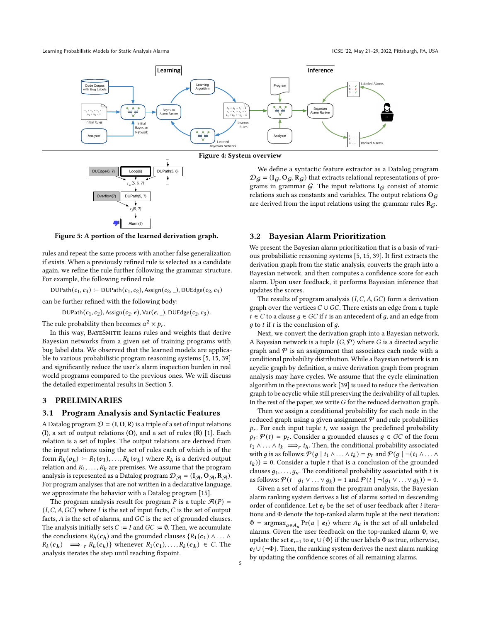<span id="page-4-0"></span>

Figure 4: System overview

<span id="page-4-1"></span>

*…*

Figure 5: A portion of the learned derivation graph.

rules and repeat the same process with another false generalization if exists. When a previously refined rule is selected as a candidate again, we refine the rule further following the grammar structure. For example, the following refined rule

DUPath $(c_1, c_3)$  :− DUPath $(c_1, c_2)$ , Assign $(c_2, 0)$ , DUEdge $(c_2, c_3)$ 

can be further refined with the following body:

DUPath $(c_1, c_2)$ , Assign $(c_2, e)$ , Var $(e, \_)$ , DUEdge $(c_2, c_3)$ .

The rule probability then becomes  $\alpha^2 \times p_r$ .

In this way, BayeSmith learns rules and weights that derive Bayesian networks from a given set of training programs with bug label data. We observed that the learned models are applicable to various probabilistic program reasoning systems [\[5,](#page-10-2) [15,](#page-10-1) [39\]](#page-11-0) and significantly reduce the user's alarm inspection burden in real world programs compared to the previous ones. We will discuss the detailed experimental results in Section [5.](#page-6-0)

# 3 PRELIMINARIES

## 3.1 Program Analysis and Syntactic Features

A Datalog program  $\mathcal{D} = (I, O, R)$  is a triple of a set of input relations (I), a set of output relations  $(O)$ , and a set of rules  $(R)$  [\[1\]](#page-10-7). Each relation is a set of tuples. The output relations are derived from the input relations using the set of rules each of which is of the form  $R_h(v_h) \coloneq R_1(v_1), \ldots, R_k(v_k)$  where  $R_h$  is a derived output relation and  $R_1, \ldots, R_k$  are premises. We assume that the program analysis is represented as a Datalog program  $\mathcal{D}_{\mathcal{A}} = (I_{\mathcal{A}}, O_{\mathcal{A}}, R_{\mathcal{A}})$ . For program analyses that are not written in a declarative language, we approximate the behavior with a Datalog program [\[15\]](#page-10-1).

The program analysis result for program P is a tuple  $\mathcal{A}(P)$  =  $(I, C, A, GC)$  where I is the set of input facts, C is the set of output facts,  $A$  is the set of alarms, and  $GC$  is the set of grounded clauses. The analysis initially sets  $C := I$  and  $GC := \emptyset$ . Then, we accumulate the conclusions  $R_h(c_h)$  and the grounded clauses  $\{R_1(c_1) \wedge \ldots \wedge R_h(c_h)\}$  $R_k(c_k) \implies r R_h(c_h)$  whenever  $R_1(c_1), \ldots, R_k(c_k) \in C$ . The analysis iterates the step until reaching fixpoint.

We define a syntactic feature extractor as a Datalog program  $\mathcal{D}_G = (I_G, O_G, R_G)$  that extracts relational representations of programs in grammar  $G$ . The input relations  $I_G$  consist of atomic relations such as constants and variables. The output relations  $O_G$ are derived from the input relations using the grammar rules  $R<sub>G</sub>$ .

## 3.2 Bayesian Alarm Prioritization

We present the Bayesian alarm prioritization that is a basis of various probabilistic reasoning systems [\[5,](#page-10-2) [15,](#page-10-1) [39\]](#page-11-0). It first extracts the derivation graph from the static analysis, converts the graph into a Bayesian network, and then computes a confidence score for each alarm. Upon user feedback, it performs Bayesian inference that updates the scores.

The results of program analysis  $(I, C, A, GC)$  form a derivation graph over the vertices  $C \cup GC$ . There exists an edge from a tuple  $t ∈ C$  to a clause  $g ∈ GC$  if  $t$  is an antecedent of  $g$ , and an edge from  $q$  to  $t$  if  $t$  is the conclusion of  $q$ .

Next, we convert the derivation graph into a Bayesian network. A Bayesian network is a tuple  $(G, \mathcal{P})$  where G is a directed acyclic graph and  $P$  is an assignment that associates each node with a conditional probability distribution. While a Bayesian network is an acyclic graph by definition, a naive derivation graph from program analysis may have cycles. We assume that the cycle elimination algorithm in the previous work [\[39\]](#page-11-0) is used to reduce the derivation graph to be acyclic while still preserving the derivability of all tuples. In the rest of the paper, we write  $G$  for the reduced derivation graph.

Then we assign a conditional probability for each node in the reduced graph using a given assignment  ${\mathcal P}$  and rule probabilities  $p_r$ . For each input tuple t, we assign the predefined probability  $p_t$ :  $P(t) = p_t$ . Consider a grounded clauses  $g \in GC$  of the form  $t_1 \wedge \ldots \wedge t_k \implies r t_h$ . Then, the conditional probability associated with g is as follows:  $\mathcal{P}(g | t_1 \wedge ... \wedge t_k) = p_r$  and  $\mathcal{P}(g | \neg(t_1 \wedge ... \wedge t_k))$  $(t_k)$ ) = 0. Consider a tuple *t* that is a conclusion of the grounded clauses  $q_1, \ldots, q_n$ . The conditional probability associated with t is as follows:  $\mathcal{P}(t | g_1 \vee \ldots \vee g_k) = 1$  and  $\mathcal{P}(t | \neg (g_1 \vee \ldots \vee g_k)) = 0$ .

Given a set of alarms from the program analysis, the Bayesian alarm ranking system derives a list of alarms sorted in descending order of confidence. Let  $e_i$  be the set of user feedback after *i* iterations and Φ denote the top-ranked alarm tuple at the next iteration:  $\Phi = \text{argmax}_{a \in A_u} \Pr(a \mid \mathbf{e}_i)$  where  $A_u$  is the set of all unlabeled alarms. Given the user feedback on the top-ranked alarm Φ, we update the set  $e_{i+1}$  to  $e_i \cup {\Phi}$  if the user labels  $\Phi$  as true, otherwise,  $e_i \cup \{\neg \Phi\}$ . Then, the ranking system derives the next alarm ranking by updating the confidence scores of all remaining alarms.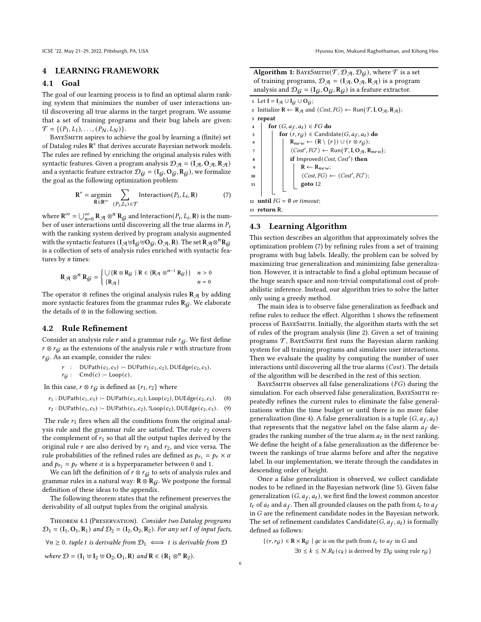#### 4 LEARNING FRAMEWORK

## 4.1 Goal

The goal of our learning process is to find an optimal alarm ranking system that minimizes the number of user interactions until discovering all true alarms in the target program. We assume that a set of training programs and their bug labels are given:  $\mathcal{T} = \{ (P_1, L_1), \ldots, (P_N, L_N) \}.$ 

BAYESMITH aspires to achieve the goal by learning a (finite) set of Datalog rules  $\mathbf{R}^*$  that derives accurate Bayesian network models. The rules are refined by enriching the original analysis rules with syntactic features. Given a program analysis  $\mathcal{D}_{\mathcal{A}} = (I_{\mathcal{A}}, O_{\mathcal{A}}, R_{\mathcal{A}})$ and a syntactic feature extractor  $\mathcal{D}_G = (I_G, O_G, R_G)$ , we formalize the goal as the following optimization problem:

$$
\mathbf{R}^* = \underset{\mathbf{R} \in \mathbf{R}^\infty}{\text{argmin}} \sum_{(P_i, L_i) \in \mathcal{T}} \text{Interaction}(P_i, L_i, \mathbf{R}) \tag{7}
$$

where  $\mathbf{R}^{\infty} = \bigcup_{n=0}^{\infty} \mathbf{R}_{\mathcal{A}} \otimes^{n} \mathbf{R}_{\mathcal{G}}$  and Interaction $(P_i, L_i, \mathbf{R})$  is the number of user interactions until discovering all the true alarms in  $P_i$ with the ranking system derived by program analysis augmented with the syntactic features ( $I_{\mathcal{A}} \uplus I_{\mathcal{G}} \uplus O_{\mathcal{G}}, O_{\mathcal{A}}, R$ ). The set  $R_{\mathcal{A}} \otimes^{n} R_{\mathcal{G}}$ is a collection of sets of analysis rules enriched with syntactic features by  $n$  times:

$$
\mathbf{R}_{\mathcal{A}} \otimes^{n} \mathbf{R}_{\mathcal{G}} = \begin{cases} \bigcup \{ \mathbf{R} \otimes \mathbf{R}_{\mathcal{G}} \mid \mathbf{R} \in (\mathbf{R}_{\mathcal{A}} \otimes^{n-1} \mathbf{R}_{\mathcal{G}}) \} & n > 0 \\ \{ \mathbf{R}_{\mathcal{A}} \} & n = 0 \end{cases}
$$

The operator ⊗ refines the original analysis rules  $\mathbf{R}_{\mathcal{A}}$  by adding more syntactic features from the grammar rules  $R_G$ . We elaborate the details of ⊗ in the following section.

# <span id="page-5-6"></span>4.2 Rule Refinement

Consider an analysis rule  $r$  and a grammar rule  $r<sub>G</sub>$ . We first define  $r \otimes r_{\mathcal{G}}$  as the extensions of the analysis rule  $r$  with structure from  $r_{\mathcal{G}}$ . As an example, consider the rules:

 $r : DUPath(c_1, c_3) : DUPath(c_1, c_2), DUEdge(c_2, c_3).$  $r_G$  : Cmd(c) :– Loop(c).

In this case,  $r \otimes r_G$  is defined as  $\{r_1, r_2\}$  where

 $r_1 : \text{DUPath}(c_1, c_3) := \text{DUPath}(c_1, c_2), \text{Loop}(c_2), \text{DUEdge}(c_2, c_3).$  (8)  $r_2 : \text{DUPath}(c_1, c_3) \text{ :- } \text{DUPath}(c_1, c_2), !\text{Loop}(c_2), \text{DUEdge}(c_2, c_3).$  (9)

The rule  $r_1$  fires when all the conditions from the original anal-

ysis rule and the grammar rule are satisfied. The rule  $r_2$  covers the complement of  $r_1$  so that all the output tuples derived by the original rule  $r$  are also derived by  $r_1$  and  $r_2$ , and vice versa. The rule probabilities of the refined rules are defined as  $p_{r_1} = p_r \times \alpha$ and  $p_{r_2} = p_r$  where  $\alpha$  is a hyperparameter between 0 and 1.

We can lift the definition of  $r \otimes r_G$  to sets of analysis rules and grammar rules in a natural way:  $\mathbf{R} \otimes \mathbf{R}_G$ . We postpone the formal definition of these ideas to the appendix.

The following theorem states that the refinement preserves the derivability of all output tuples from the original analysis.

<span id="page-5-12"></span>Theorem 4.1 (Preservation). Consider two Datalog programs  $\mathcal{D}_1 = (\mathbf{I}_1, \mathbf{O}_1, \mathbf{R}_1)$  and  $\mathcal{D}_2 = (\mathbf{I}_2, \mathbf{O}_2, \mathbf{R}_2)$ . For any set I of input facts,

 $∀n ≥ 0. tuple t is derivable from D<sub>1</sub>  $\Longleftrightarrow$  t is derivable from D$ 

where  $\mathcal{D} = (\mathbf{I}_1 \uplus \mathbf{I}_2 \uplus \mathbf{O}_2, \mathbf{O}_1, \mathbf{R})$  and  $\mathbf{R} \in (\mathbf{R}_1 \otimes^n \mathbf{R}_2)$ .

Algorithm 1: BAYESMITH(T,  $\mathcal{D}_{\mathcal{A}}, \mathcal{D}_{\mathcal{G}}$ ), where T is a set of training programs,  $\mathcal{D}_{\mathcal{A}} = (\mathbf{I}_{\mathcal{A}}, \mathbf{O}_{\mathcal{A}}, \mathbf{R}_{\mathcal{A}})$  is a program analysis and  $\mathcal{D}_G = (I_G, O_G, R_G)$  is a feature extractor.

<span id="page-5-9"></span><span id="page-5-8"></span><span id="page-5-7"></span><span id="page-5-5"></span><span id="page-5-4"></span><span id="page-5-3"></span><span id="page-5-2"></span>1 Let  $I = I_{\mathcal{A}} \cup I_G \cup O_G$ ; 2 Initialize  $\mathbf{R} \leftarrow \mathbf{R}_{\mathcal{A}}$  and  $\langle Cost, FG \rangle \leftarrow \text{Run}(\mathcal{T}, \mathbf{I}, \mathbf{O}_{\mathcal{A}}, \mathbf{R}_{\mathcal{A}});$ <sup>3</sup> repeat 4  $\Big|$  for  $(G, a_f, a_t) \in FG$  do 5 **for**  $(r, r_G) \in$  Candidate  $(G, a_f, a_t)$  do 6  $\vert \vert$  Rnew  $\leftarrow$  (R \ {r})  $\cup$  (r \ \text{s} rg});  $7 \mid \mid \cdot \mid \langle Cost', FG' \rangle \leftarrow \text{Run}(\mathcal{T}, \text{I}, \text{O}_{\mathcal{A}}, \text{R}_{new});$  $\mathbf{B}$  | | if Improved(*Cost*, *Cost'*) then  $9 \mid \mid \mid \text{ } R \leftarrow R_{new};$ 10  $\vert$   $\vert$   $\vert$   $\langle Cost, FG \rangle \leftarrow \langle Cost', FG' \rangle;$  $11$  goto [12](#page-5-0) 12 until  $FG = \emptyset$  or timeout; <sup>13</sup> return R;

# <span id="page-5-1"></span><span id="page-5-0"></span>4.3 Learning Algorithm

This section describes an algorithm that approximately solves the optimization problem [\(7\)](#page-5-1) by refining rules from a set of training programs with bug labels. Ideally, the problem can be solved by maximizing true generalization and minimizing false generalization. However, it is intractable to find a global optimum because of the huge search space and non-trivial computational cost of probabilistic inference. Instead, our algorithm tries to solve the latter only using a greedy method.

The main idea is to observe false generalization as feedback and refine rules to reduce the effect. Algorithm [1](#page-5-2) shows the refinement process of BayeSmith. Initially, the algorithm starts with the set of rules of the program analysis (line [2\)](#page-5-3). Given a set of training programs  $T$ , BAYESMITH first runs the Bayesian alarm ranking system for all training programs and simulates user interactions. Then we evaluate the quality by computing the number of user interactions until discovering all the true alarms  $(Cost)$ . The details of the algorithm will be described in the rest of this section.

<span id="page-5-11"></span><span id="page-5-10"></span>BAYESMITH observes all false generalizations  $(FG)$  during the simulation. For each observed false generalization, BAYESMITH repeatedly refines the current rules to eliminate the false generalizations within the time budget or until there is no more false generalization (line [4\)](#page-5-4). A false generalization is a tuple  $(G, a_f, a_t)$ that represents that the negative label on the false alarm  $a_f$  degrades the ranking number of the true alarm  $a_t$  in the next ranking. We define the height of a false generalization as the difference between the rankings of true alarms before and after the negative label. In our implementation, we iterate through the candidates in descending order of height.

Once a false generalization is observed, we collect candidate nodes to be refined in the Bayesian network (line [5\)](#page-5-5). Given false generalization  $(G, a_f, a_t)$ , we first find the lowest common ancestor  $t_c$  of  $a_t$  and  $a_f$ . Then all grounded clauses on the path from  $t_c$  to  $a_f$ in  $G$  are the refinement candidate nodes in the Bayesian network. The set of refinement candidates Candidate( $G$ ,  $a_f$ ,  $a_t$ ) is formally defined as follows:

 $\{(r, r_{\mathcal{G}}) \in \mathbb{R} \times \mathbb{R}_{\mathcal{G}} \mid gc \text{ is on the path from } t_c \text{ to } a_f \text{ in } G \text{ and } c \text{ in } \mathbb{R} \}$  $\exists 0 \leq k \leq N.R_k(c_k)$  is derived by  $\mathcal{D}_G$  using rule  $r_G$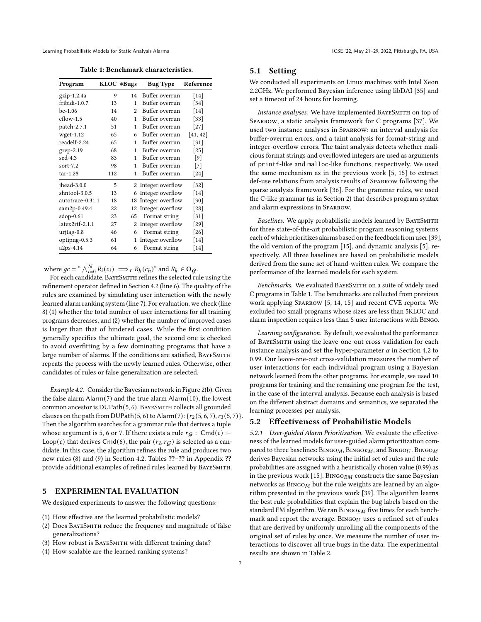<span id="page-6-1"></span>Learning Probabilistic Models for Static Analysis Alarms **ICSE 122, May 21-29, 2022, Pittsburgh, PA, USA** 

Table 1: Benchmark characteristics.

| Program          |     | KLOC #Bugs     | <b>Bug Type</b>     | Reference |  |
|------------------|-----|----------------|---------------------|-----------|--|
| gzip-1.2.4a      | 9   | 14             | Buffer overrun      | $[14]$    |  |
| fribidi-1.0.7    | 13  | 1              | Buffer overrun      | $[34]$    |  |
| $bc-1.06$        | 14  | $\overline{c}$ | Buffer overrun      | $[14]$    |  |
| $cflow-1.5$      | 40  | 1              | Buffer overrun      | $[33]$    |  |
| patch-2.7.1      | 51  | 1              | Buffer overrun      | $[27]$    |  |
| $wget-1.12$      | 65  | 6              | Buffer overrun      | [41, 42]  |  |
| readelf-2.24     | 65  | 1              | Buffer overrun      | $[31]$    |  |
| grep-2.19        | 68  | 1              | Buffer overrun      | $[25]$    |  |
| sed-4.3          | 83  | 1              | Buffer overrun      | [9]       |  |
| sort- $7.2$      | 98  | 1              | Buffer overrun      | $[7]$     |  |
| $tar-1.28$       | 112 | 1              | Buffer overrun      | $[24]$    |  |
| jhead-3.0.0      | 5   |                | 2 Integer overflow  | $[32]$    |  |
| shntool-3.0.5    | 13  | 6              | Integer overflow    | $[14]$    |  |
| autotrace-0.31.1 | 18  |                | 18 Integer overflow | $[30]$    |  |
| sam2p-0.49.4     | 22  | 12             | Integer overflow    | $[28]$    |  |
| $sdop-0.61$      | 23  | 65             | Format string       | $[31]$    |  |
| latex2rtf-2.1.1  | 27  | 2              | Integer overflow    | $[29]$    |  |
| urjtag-0.8       | 46  | 6              | Format string       | $[26]$    |  |
| optipng-0.5.3    | 61  | 1              | Integer overflow    | $[14]$    |  |
| a2ps-4.14        | 64  | 6              | Format string       | $[14]$    |  |

where  $gc = \sqrt[N]{\sum_{i=0}^{N} R_i(c_i)} \implies r R_h(c_h)$ " and  $R_k \in \mathbf{O}_\mathcal{G}$ .

For each candidate, BayeSmith refines the selected rule using the refinement operator defined in Section [4.2](#page-5-6) (line [6\)](#page-5-7). The quality of the rules are examined by simulating user interaction with the newly learned alarm ranking system (line [7\)](#page-5-8). For evaluation, we check (line [8\)](#page-5-9) (1) whether the total number of user interactions for all training programs decreases, and (2) whether the number of improved cases is larger than that of hindered cases. While the first condition generally specifies the ultimate goal, the second one is checked to avoid overfitting by a few dominating programs that have a large number of alarms. If the conditions are satisfied, BAYESMITH repeats the process with the newly learned rules. Otherwise, other candidates of rules or false generalization are selected.

Example 4.2. Consider the Bayesian network in Figure [2\(b\).](#page-2-0) Given the false alarm Alarm([7](#page-1-6)) and the true alarm Alarm([10](#page-1-5)), the lowest common ancestor is DUPath([5](#page-1-8),[6](#page-1-3)). BAYESMITH collects all grounded clauses on the path from DUPath([5](#page-1-8), [6](#page-1-3)) to Alarm([7](#page-1-6)):  $\{r_2 (5, 6, 7), r_3 (5, 7)\}.$ Then the algorithm searches for a grammar rule that derives a tuple whose argument is [5,](#page-1-8) [6](#page-1-3) or [7.](#page-1-6) If there exists a rule  $r_G$ : Cmd(c) :− Loop(c) that derives Cmd([6](#page-1-3)), the pair  $(r_2, r_G)$  is selected as a candidate. In this case, the algorithm refines the rule and produces two new rules [\(8\)](#page-5-10) and [\(9\)](#page-5-11) in Section [4.2.](#page-5-6) Tables ??–?? in Appendix ?? provide additional examples of refined rules learned by BayeSmith.

# <span id="page-6-0"></span>5 EXPERIMENTAL EVALUATION

We designed experiments to answer the following questions:

- (1) How effective are the learned probabilistic models?
- (2) Does BayeSmith reduce the frequency and magnitude of false generalizations?
- (3) How robust is BAYESMITH with different training data?
- (4) How scalable are the learned ranking systems?

# 5.1 Setting

We conducted all experiments on Linux machines with Intel Xeon 2.2GHz. We performed Bayesian inference using libDAI [\[35\]](#page-10-22) and set a timeout of 24 hours for learning.

Instance analyses. We have implemented BayeSmith on top of Sparrow, a static analysis framework for C programs [\[37\]](#page-10-4). We used two instance analyses in Sparrow: an interval analysis for buffer-overrun errors, and a taint analysis for format-string and integer-overflow errors. The taint analysis detects whether malicious format strings and overflowed integers are used as arguments of printf-like and malloc-like functions, respectively. We used the same mechanism as in the previous work [\[5,](#page-10-2) [15\]](#page-10-1) to extract def-use relations from analysis results of Sparrow following the sparse analysis framework [\[36\]](#page-10-6). For the grammar rules, we used the C-like grammar (as in Section [2\)](#page-1-9) that describes program syntax and alarm expressions in Sparrow.

Baselines. We apply probabilistic models learned by BAYESMITH for three state-of-the-art probabilistic program reasoning systems each of which prioritizes alarms based on the feedback from user [\[39\]](#page-11-0), the old version of the program [\[15\]](#page-10-1), and dynamic analysis [\[5\]](#page-10-2), respectively. All three baselines are based on probabilistic models derived from the same set of hand-written rules. We compare the performance of the learned models for each system.

Benchmarks. We evaluated BAYESMITH on a suite of widely used C programs in Table [1.](#page-6-1) The benchmarks are collected from previous work applying Sparrow [\[5,](#page-10-2) [14,](#page-10-8) [15\]](#page-10-1) and recent CVE reports. We excluded too small programs whose sizes are less than 5KLOC and alarm inspection requires less than 5 user interactions with Bingo.

Learning configuration. By default, we evaluated the performance of BayeSmith using the leave-one-out cross-validation for each instance analysis and set the hyper-parameter  $\alpha$  in Section [4.2](#page-5-6) to 0.99. Our leave-one-out cross-validation measures the number of user interactions for each individual program using a Bayesian network learned from the other programs. For example, we used 10 programs for training and the remaining one program for the test, in the case of the interval analysis. Because each analysis is based on the different abstract domains and semantics, we separated the learning processes per analysis.

# <span id="page-6-2"></span>5.2 Effectiveness of Probabilistic Models

5.2.1 User-guided Alarm Prioritization. We evaluate the effectiveness of the learned models for user-guided alarm prioritization compared to three baselines:  $BINGO<sub>M</sub>$ ,  $BINGO<sub>EM</sub>$ , and  $BINGO<sub>U</sub>$ .  $BINGO<sub>M</sub>$ derives Bayesian networks using the initial set of rules and the rule probabilities are assigned with a heuristically chosen value (0.99) as in the previous work [\[15\]](#page-10-1). BINGO $_{EM}$  constructs the same Bayesian networks as  $BINGO<sub>M</sub>$  but the rule weights are learned by an algorithm presented in the previous work [\[39\]](#page-11-0). The algorithm learns the best rule probabilities that explain the bug labels based on the standard EM algorithm. We ran  $BINGO_{EM}$  five times for each benchmark and report the average. BINGO $U$  uses a refined set of rules that are derived by uniformly unrolling all the components of the original set of rules by once. We measure the number of user interactions to discover all true bugs in the data. The experimental results are shown in Table [2.](#page-7-0)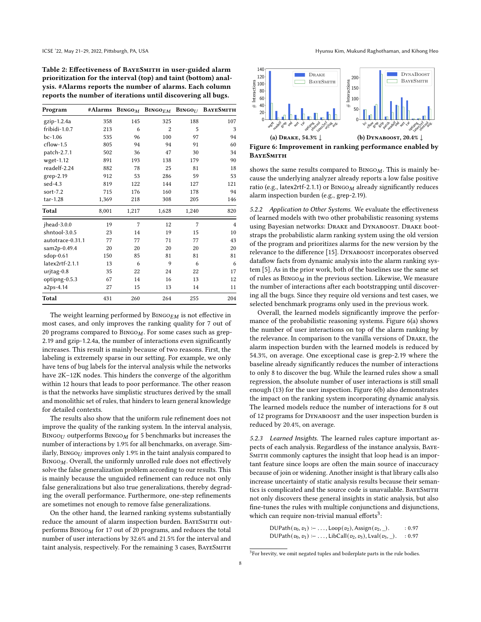<span id="page-7-0"></span>Table 2: Effectiveness of BAYESMITH in user-guided alarm prioritization for the interval (top) and taint (bottom) analysis. #Alarms reports the number of alarms. Each column reports the number of iterations until discovering all bugs.

| Program          | #Alarms | $\mathbf{B}$ ingo $_M$ | $\mathbf{B}$ ingo $_{EM}$ |       | BINGOU BAYESMITH |
|------------------|---------|------------------------|---------------------------|-------|------------------|
| $gzip-1.2.4a$    | 358     | 145                    | 325                       | 188   | 107              |
| fribidi-1.0.7    | 213     | 6                      | $\overline{2}$            | 5     | 3                |
| $bc-1.06$        | 535     | 96                     | 100                       | 97    | 94               |
| cflow-1.5        | 805     | 94                     | 94                        | 91    | 60               |
| patch-2.7.1      | 502     | 36                     | 47                        | 30    | 34               |
| $wget-1.12$      | 891     | 193                    | 138                       | 179   | 90               |
| readelf-2.24     | 882     | 78                     | 25                        | 81    | 18               |
| grep-2.19        | 912     | 53                     | 286                       | 59    | 53               |
| $sed-4.3$        | 819     | 122                    | 144                       | 127   | 121              |
| sort- $7.2$      | 715     | 176                    | 160                       | 178   | 94               |
| tar-1.28         | 1,369   | 218                    | 308                       | 205   | 146              |
| Total            | 8,001   | 1,217                  | 1,628                     | 1,240 | 820              |
| jhead-3.0.0      | 19      | 7                      | 12                        | 7     | $\overline{4}$   |
| shntool-3.0.5    | 23      | 14                     | 19                        | 15    | 10               |
| autotrace-0.31.1 | 77      | 77                     | 71                        | 77    | 43               |
| sam2p-0.49.4     | 20      | 20                     | 20                        | 20    | 20               |
| $sdop-0.61$      | 150     | 85                     | 81                        | 81    | 81               |
| latex2rtf-2.1.1  | 13      | 6                      | 9                         | 6     | 6                |
| urjtag-0.8       | 35      | 22                     | 24                        | 22    | 17               |
| optipng-0.5.3    | 67      | 14                     | 16                        | 13    | 12               |
| a2ps-4.14        | 27      | 15                     | 13                        | 14    | 11               |
| Total            | 431     | 260                    | 264                       | 255   | 204              |

The weight learning performed by  $\textsc{Bin}$  is not effective in most cases, and only improves the ranking quality for 7 out of 20 programs compared to  $BINGO_1$ . For some cases such as grep-2.19 and gzip-1.2.4a, the number of interactions even significantly increases. This result is mainly because of two reasons. First, the labeling is extremely sparse in our setting. For example, we only have tens of bug labels for the interval analysis while the networks have 2K–12K nodes. This hinders the converge of the algorithm within 12 hours that leads to poor performance. The other reason is that the networks have simplistic structures derived by the small and monolithic set of rules, that hinders to learn general knowledge for detailed contexts.

The results also show that the uniform rule refinement does not improve the quality of the ranking system. In the interval analysis, BINGO $U$  outperforms BINGO $M$  for 5 benchmarks but increases the number of interactions by 1.9% for all benchmarks, on average. Similarly,  $\text{BINGO}_U$  improves only 1.9% in the taint analysis compared to  $BINGO_M$ . Overall, the uniformly unrolled rule does not effectively solve the false generalization problem according to our results. This is mainly because the unguided refinement can reduce not only false generalizations but also true generalizations, thereby degrading the overall performance. Furthermore, one-step refinements are sometimes not enough to remove false generalizations.

On the other hand, the learned ranking systems substantially reduce the amount of alarm inspection burden. BAYESMITH outperforms  $BINGO<sub>M</sub>$  for 17 out of 20 programs, and reduces the total number of user interactions by 32.6% and 21.5% for the interval and taint analysis, respectively. For the remaining 3 cases, BAYESMITH

<span id="page-7-1"></span>

Figure 6: Improvement in ranking performance enabled by **BAYESMITH** 

shows the same results compared to  $BINGO_M$ . This is mainly because the underlying analyzer already reports a low false positive ratio (e.g., latex2rtf-2.1.1) or  $\text{BINGO}_M$  already significantly reduces alarm inspection burden (e.g., grep-2.19).

5.2.2 Application to Other Systems. We evaluate the effectiveness of learned models with two other probabilistic reasoning systems using Bayesian networks: Drake and Dynaboost. Drake bootstraps the probabilistic alarm ranking system using the old version of the program and prioritizes alarms for the new version by the relevance to the difference [\[15\]](#page-10-1). DYNABOOST incorporates observed dataflow facts from dynamic analysis into the alarm ranking system [\[5\]](#page-10-2). As in the prior work, both of the baselines use the same set of rules as  $BINGO_M$  in the previous section. Likewise, We measure the number of interactions after each bootstrapping until discovering all the bugs. Since they require old versions and test cases, we selected benchmark programs only used in the previous work.

Overall, the learned models significantly improve the performance of the probabilistic reasoning systems. Figure [6\(a\)](#page-7-1) shows the number of user interactions on top of the alarm ranking by the relevance. In comparison to the vanilla versions of Drake, the alarm inspection burden with the learned models is reduced by 54.3%, on average. One exceptional case is grep-2.19 where the baseline already significantly reduces the number of interactions to only 8 to discover the bug. While the learned rules show a small regression, the absolute number of user interactions is still small enough (13) for the user inspection. Figure [6\(b\)](#page-7-1) also demonstrates the impact on the ranking system incorporating dynamic analysis. The learned models reduce the number of interactions for 8 out of 12 programs for Dynaboost and the user inspection burden is reduced by 20.4%, on average.

5.2.3 Learned Insights. The learned rules capture important aspects of each analysis. Regardless of the instance analysis, Baye-SMITH commonly captures the insight that loop head is an important feature since loops are often the main source of inaccuracy because of join or widening. Another insight is that library calls also increase uncertainty of static analysis results because their semantics is complicated and the source code is unavailable. BAYESMITH not only discovers these general insights in static analysis, but also fine-tunes the rules with multiple conjunctions and disjunctions, which can require non-trivial manual efforts<sup>[3](#page-7-2)</sup>:

> DUPath $(v_0, v_1)$  :− ..., Loop $(v_2)$ , Assign $(v_2, \_)$ . : 0.97 DUPath $(v_0, v_1)$  :− ..., LibCall $(v_2, v_3)$ , Lval $(v_3, \_)$ . : 0.97

<span id="page-7-2"></span><sup>&</sup>lt;sup>3</sup>For brevity, we omit negated tuples and boilerplate parts in the rule bodies.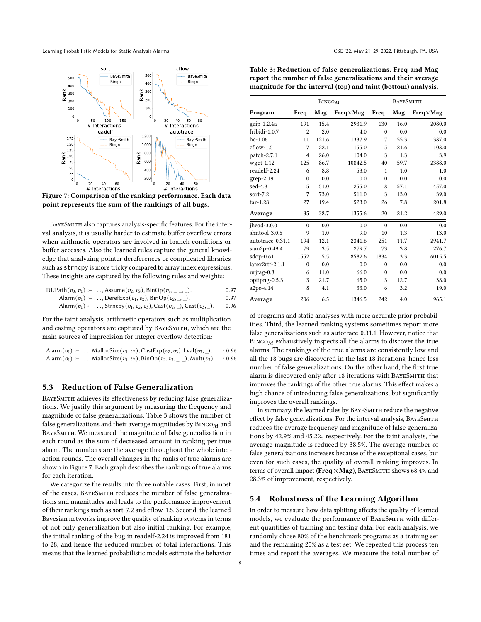<span id="page-8-1"></span>Learning Probabilistic Models for Static Analysis Alarms **ICSE 122, May 21-29, 2022, Pittsburgh, PA, USA** 



Figure 7: Comparison of the ranking performance. Each data point represents the sum of the rankings of all bugs.

BAYESMITH also captures analysis-specific features. For the interval analysis, it is usually harder to estimate buffer overflow errors when arithmetic operators are involved in branch conditions or buffer accesses. Also the learned rules capture the general knowledge that analyzing pointer dereferences or complicated libraries such as strncpy is more tricky compared to array index expressions. These insights are captured by the following rules and weights:

| DUPath $(v_0, v_1)$ :- , Assume $(v_2, v_3)$ , BinOp $(v_3, , v_n)$ .            | : 0.97 |
|----------------------------------------------------------------------------------|--------|
| Alarm $(v_1)$ : $\ldots$ , DerefExp $(v_1, v_2)$ , BinOp $(v_2, \ldots)$ .       | : 0.97 |
| Alarm $(v_1)$ :- , Strncpy $(v_1, v_2, v_3)$ , Cast $(v_2, )$ , Cast $(v_3, )$ . | : 0.96 |

For the taint analysis, arithmetic operators such as multiplication and casting operators are captured by BayeSmith, which are the main sources of imprecision for integer overflow detection:

| Alarm $(v_1)$ : $\ldots$ , MallocSize $(v_1, v_2)$ , CastExp $(v_2, v_3)$ , Lval $(v_3, \_)$ . | : 0.96 |
|------------------------------------------------------------------------------------------------|--------|
| Alarm $(v_1)$ :-, MallocSize $(v_1, v_2)$ , BinOp $(v_2, v_3, )$ , Mult $(v_3)$ . : 0.96       |        |

#### 5.3 Reduction of False Generalization

BAYESMITH achieves its effectiveness by reducing false generalizations. We justify this argument by measuring the frequency and magnitude of false generalizations. Table [3](#page-8-0) shows the number of false generalizations and their average magnitudes by  $\text{BINGO}_M$  and BayeSmith. We measured the magnitude of false generalization in each round as the sum of decreased amount in ranking per true alarm. The numbers are the average throughout the whole interaction rounds. The overall changes in the ranks of true alarms are shown in Figure [7.](#page-8-1) Each graph describes the rankings of true alarms for each iteration.

We categorize the results into three notable cases. First, in most of the cases, BayeSmith reduces the number of false generalizations and magnitudes and leads to the performance improvement of their rankings such as sort-7.2 and cflow-1.5. Second, the learned Bayesian networks improve the quality of ranking systems in terms of not only generalization but also initial ranking. For example, the initial ranking of the bug in readelf-2.24 is improved from 181 to 28, and hence the reduced number of total interactions. This means that the learned probabilistic models estimate the behavior

<span id="page-8-0"></span>

| Table 3: Reduction of false generalizations. Freq and Mag     |
|---------------------------------------------------------------|
| report the number of false generalizations and their average  |
| magnitude for the interval (top) and taint (bottom) analysis. |

|                  |                  | <b>BINGOM</b> |                   | <b>BAYESMITH</b> |      |                   |  |
|------------------|------------------|---------------|-------------------|------------------|------|-------------------|--|
| Program          | Freq             | Mag           | $Freq \times Mag$ | Freq             | Mag  | $Freq \times Mag$ |  |
| $gzip-1.2.4a$    | 191              | 15.4          | 2931.9            | 130              | 16.0 | 2080.0            |  |
| fribidi-1.0.7    | $\overline{2}$   | 2.0           | 4.0               | $\theta$         | 0.0  | 0.0               |  |
| $bc-1.06$        | 11               | 121.6         | 1337.9            | 7                | 55.3 | 387.0             |  |
| $cflow-1.5$      | 7                | 22.1          | 155.0             | 5                | 21.6 | 108.0             |  |
| patch-2.7.1      | $\overline{4}$   | 26.0          | 104.0             | 3                | 1.3  | 3.9               |  |
| $wget-1.12$      | 125              | 86.7          | 10842.5           | 40               | 59.7 | 2388.0            |  |
| readelf-2.24     | 6                | 8.8           | 53.0              | 1                | 1.0  | 1.0               |  |
| grep-2.19        | $\boldsymbol{0}$ | 0.0           | 0.0               | $\theta$         | 0.0  | 0.0               |  |
| $sed-4.3$        | 5                | 51.0          | 255.0             | 8                | 57.1 | 457.0             |  |
| sort- $7.2$      | 7                | 73.0          | 511.0             | 3                | 13.0 | 39.0              |  |
| $tar-1.28$       | 27               | 19.4          | 523.0             | 26               | 7.8  | 201.8             |  |
| Average          | 35               | 38.7          | 1355.6            | 20               | 21.2 | 429.0             |  |
| ihead-3.0.0      | $\theta$         | 0.0           | 0.0               | $\theta$         | 0.0  | 0.0               |  |
| shntool-3.0.5    | 9                | 1.0           | 9.0               | 10               | 1.3  | 13.0              |  |
| autotrace-0.31.1 | 194              | 12.1          | 2341.6            | 251              | 11.7 | 2941.7            |  |
| sam2p-0.49.4     | 79               | 3.5           | 279.7             | 73               | 3.8  | 276.7             |  |
| sdop-0.61        | 1552             | 5.5           | 8582.6            | 1834             | 3.3  | 6015.5            |  |
| latex2rtf-2.1.1  | $\boldsymbol{0}$ | 0.0           | 0.0               | $\theta$         | 0.0  | 0.0               |  |
| urjtag-0.8       | 6                | 11.0          | 66.0              | $\theta$         | 0.0  | 0.0               |  |
| optipng-0.5.3    | 3                | 21.7          | 65.0              | 3                | 12.7 | 38.0              |  |
| a2ps-4.14        | 8                | 4.1           | 33.0              | 6                | 3.2  | 19.0              |  |
| Average          | 206              | 6.5           | 1346.5            | 242              | 4.0  | 965.1             |  |

of programs and static analyses with more accurate prior probabilities. Third, the learned ranking systems sometimes report more false generalizations such as autotrace-0.31.1. However, notice that  $BINGOM$  exhaustively inspects all the alarms to discover the true alarms. The rankings of the true alarms are consistently low and all the 18 bugs are discovered in the last 18 iterations, hence less number of false generalizations. On the other hand, the first true alarm is discovered only after 18 iterations with BAYESMITH that improves the rankings of the other true alarms. This effect makes a high chance of introducing false generalizations, but significantly improves the overall rankings.

In summary, the learned rules by BayeSmith reduce the negative effect by false generalizations. For the interval analysis, BayeSmith reduces the average frequency and magnitude of false generalizations by 42.9% and 45.2%, respectively. For the taint analysis, the average magnitude is reduced by 38.5%. The average number of false generalizations increases because of the exceptional cases, but even for such cases, the quality of overall ranking improves. In terms of overall impact (Freq  $\times$  Mag), BAYESMITH shows 68.4% and 28.3% of improvement, respectively.

## 5.4 Robustness of the Learning Algorithm

In order to measure how data splitting affects the quality of learned models, we evaluate the performance of BayeSmith with different quantities of training and testing data. For each analysis, we randomly chose 80% of the benchmark programs as a training set and the remaining 20% as a test set. We repeated this process ten times and report the averages. We measure the total number of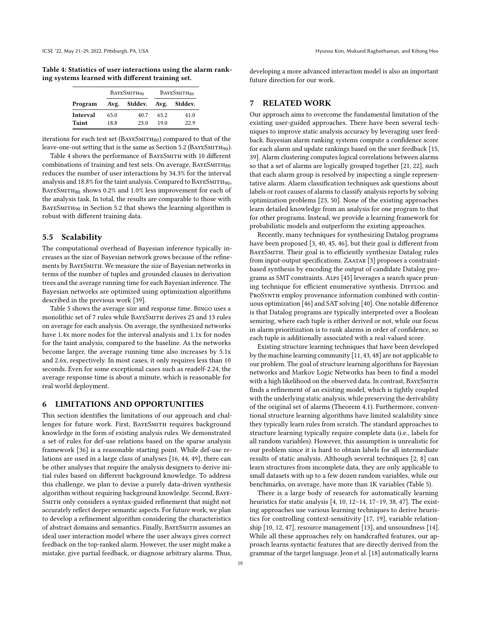<span id="page-9-0"></span>Table 4: Statistics of user interactions using the alarm ranking systems learned with different training set.

|          |      | BAYESMITH <sub>90</sub>   | BAYESMITH <sub>80</sub> |      |  |
|----------|------|---------------------------|-------------------------|------|--|
| Program  |      | Avg. Stddev. Avg. Stddev. |                         |      |  |
| Interval | 65.0 | 40.7                      | 65.2                    | 41.0 |  |
| Taint    | 18.8 | 23.0                      | 190                     | 22.9 |  |

iterations for each test set (BAYESMITH80) compared to that of the leave-one-out setting that is the same as Section [5.2](#page-6-2) ( $BAYESMITH90$ ).

Table [4](#page-9-0) shows the performance of BAYESMITH with 10 different combinations of training and test sets. On average,  $BAYESMITH_{80}$ reduces the number of user interactions by 34.3% for the interval analysis and 18.8% for the taint analysis. Compared to BAYESMITH90, BAYESMITH $_{80}$  shows 0.2% and 1.0% less improvement for each of the analysis task. In total, the results are comparable to those with BAYESMITH90 in Section [5.2](#page-6-2) that shows the learning algorithm is robust with different training data.

## 5.5 Scalability

The computational overhead of Bayesian inference typically increases as the size of Bayesian network grows because of the refinements by BayeSmith. We measure the size of Bayesian networks in terms of the number of tuples and grounded clauses in derivation trees and the average running time for each Bayesian inference. The Bayesian networks are optimized using optimization algorithms described in the previous work [\[39\]](#page-11-0).

Table [5](#page-10-23) shows the average size and response time. Bingo uses a monolithic set of 7 rules while BayeSmith derives 25 and 13 rules on average for each analysis. On average, the synthesized networks have 1.4x more nodes for the interval analysis and 1.1x for nodes for the taint analysis, compared to the baseline. As the networks become larger, the average running time also increases by 5.1x and 2.6x, respectively. In most cases, it only requires less than 10 seconds. Even for some exceptional cases such as readelf-2.24, the average response time is about a minute, which is reasonable for real world deployment.

## 6 LIMITATIONS AND OPPORTUNITIES

This section identifies the limitations of our approach and challenges for future work. First, BAYESMITH requires background knowledge in the form of existing analysis rules. We demonstrated a set of rules for def-use relations based on the sparse analysis framework [\[36\]](#page-10-6) is a reasonable starting point. While def-use relations are used in a large class of analyses [\[16,](#page-10-24) [44,](#page-11-4) [49\]](#page-11-5), there can be other analyses that require the analysis designers to derive initial rules based on different background knowledge. To address this challenge, we plan to devise a purely data-driven synthesis algorithm without requiring background knowledge. Second, Baye-SMITH only considers a syntax-guided refinement that might not accurately reflect deeper semantic aspects. For future work, we plan to develop a refinement algorithm considering the characteristics of abstract domains and semantics. Finally, BayeSmith assumes an ideal user interaction model where the user always gives correct feedback on the top-ranked alarm. However, the user might make a mistake, give partial feedback, or diagnose arbitrary alarms. Thus,

developing a more advanced interaction model is also an important future direction for our work.

## 7 RELATED WORK

Our approach aims to overcome the fundamental limitation of the existing user-guided approaches. There have been several techniques to improve static analysis accuracy by leveraging user feedback. Bayesian alarm ranking systems compute a confidence score for each alarm and update rankings based on the user feedback [\[15,](#page-10-1) [39\]](#page-11-0). Alarm clustering computes logical correlations between alarms so that a set of alarms are logically grouped together [\[21,](#page-10-25) [22\]](#page-10-26), such that each alarm group is resolved by inspecting a single representative alarm. Alarm classification techniques ask questions about labels or root causes of alarms to classify analysis reports by solving optimization problems [\[23,](#page-10-0) [50\]](#page-11-1). None of the existing approaches learn detailed knowledge from an analysis for one program to that for other programs. Instead, we provide a learning framework for probabilistic models and outperform the existing approaches.

Recently, many techniques for synthesizing Datalog programs have been proposed [\[3,](#page-10-27) [40,](#page-11-6) [45,](#page-11-7) [46\]](#page-11-8), but their goal is different from BAYESMITH. Their goal is to efficiently synthesize Datalog rules from input-output specifications. ZAATAR [\[3\]](#page-10-27) proposes a constraintbased synthesis by encoding the output of candidate Datalog programs as SMT constraints. Alps [\[45\]](#page-11-7) leverages a search space pruning technique for efficient enumerative synthesis. DIFFLOG and PROSYNTH employ provenance information combined with continuous optimization [\[46\]](#page-11-8) and SAT solving [\[40\]](#page-11-6). One notable difference is that Datalog programs are typically interpreted over a Boolean semiring, where each tuple is either derived or not, while our focus in alarm prioritization is to rank alarms in order of confidence, so each tuple is additionally associated with a real-valued score.

Existing structure learning techniques that have been developed by the machine learning community [\[11,](#page-10-28) [43,](#page-11-9) [48\]](#page-11-10) are not applicable to our problem. The goal of structure learning algorithms for Bayesian networks and Markov Logic Networks has been to find a model with a high likelihood on the observed data. In contrast, BAYESMITH finds a refinement of an existing model, which is tightly coupled with the underlying static analysis, while preserving the derivability of the original set of alarms [\(Theorem 4.1\)](#page-5-12). Furthermore, conventional structure learning algorithms have limited scalability since they typically learn rules from scratch. The standard approaches to structure learning typically require complete data (i.e., labels for all random variables). However, this assumption is unrealistic for our problem since it is hard to obtain labels for all intermediate results of static analysis. Although several techniques [\[2,](#page-10-29) [8\]](#page-10-30) can learn structures from incomplete data, they are only applicable to small datasets with up to a few dozen random variables, while our benchmarks, on average, have more than 1K variables (Table [5\)](#page-10-23).

There is a large body of research for automatically learning heuristics for static analysis [\[4,](#page-10-31) [10,](#page-10-32) [12](#page-10-33)[–14,](#page-10-8) [17](#page-10-34)[–19,](#page-10-35) [38,](#page-11-11) [47\]](#page-11-12). The existing approaches use various learning techniques to derive heuristics for controlling context-sensitivity [\[17,](#page-10-34) [19\]](#page-10-35), variable relationship [\[10,](#page-10-32) [12,](#page-10-33) [47\]](#page-11-12), resource management [\[13\]](#page-10-36), and unsoundness [\[14\]](#page-10-8). While all these approaches rely on handcrafted features, our approach learns syntactic features that are directly derived from the grammar of the target language. Jeon et al. [\[18\]](#page-10-37) automatically learns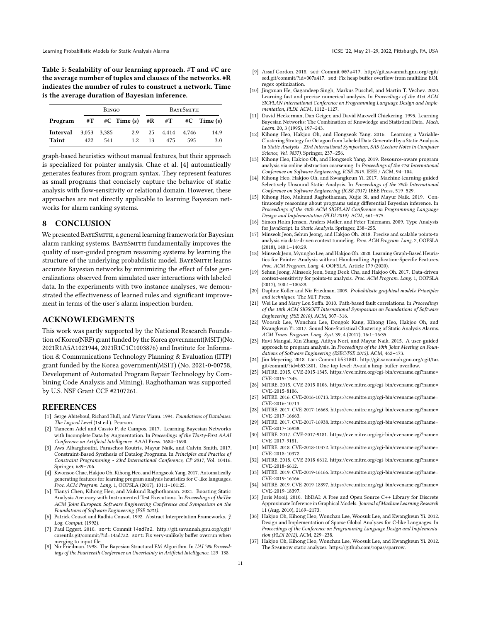<span id="page-10-23"></span>Table 5: Scalability of our learning approach. #T and #C are the average number of tuples and clauses of the networks. #R indicates the number of rules to construct a network. Time is the average duration of Bayesian inference.

|              | <b>BINGO</b> |     |                         | BAYESMITH |       |       |                |
|--------------|--------------|-----|-------------------------|-----------|-------|-------|----------------|
| Program      |              |     | $\#T$ #C Time (s) #R #T |           |       |       | $\#C$ Time (s) |
| Interval     | 3.053 3.385  |     | 2.9                     | 25        | 4.414 | 4.746 | 14.9           |
| <b>Taint</b> | 422          | 541 | 12.                     | 13        | 475   | 595   | 3.0            |

graph-based heuristics without manual features, but their approach is specialized for pointer analysis. Chae et al. [\[4\]](#page-10-31) automatically generates features from program syntax. They represent features as small programs that concisely capture the behavior of static analysis with flow-sensitivity or relational domain. However, these approaches are not directly applicable to learning Bayesian networks for alarm ranking systems.

## 8 CONCLUSION

We presented BAYESMITH, a general learning framework for Bayesian alarm ranking systems. BAYESMITH fundamentally improves the quality of user-guided program reasoning systems by learning the structure of the underlying probabilistic model. BayeSmith learns accurate Bayesian networks by minimizing the effect of false generalizations observed from simulated user interactions with labeled data. In the experiments with two instance analyses, we demonstrated the effectiveness of learned rules and significant improvement in terms of the user's alarm inspection burden.

# ACKNOWLEDGMENTS

This work was partly supported by the National Research Foundation of Korea(NRF) grant funded by the Korea government(MSIT)(No. 2021R1A5A1021944, 2021R1C1C1003876) and Institute for Information & Communications Technology Planning & Evaluation (IITP) grant funded by the Korea government(MSIT) (No. 2021-0-00758, Development of Automated Program Repair Technology by Combining Code Analysis and Mining). Raghothaman was supported by U.S. NSF Grant CCF #2107261.

#### REFERENCES

- <span id="page-10-7"></span>[1] Serge Abiteboul, Richard Hull, and Victor Vianu. 1994. Foundations of Databases: The Logical Level (1st ed.). Pearson.
- <span id="page-10-29"></span>[2] Tameem Adel and Cassio P. de Campos. 2017. Learning Bayesian Networks with Incomplete Data by Augmentation. In Proceedings of the Thirty-First AAAI Conference on Artificial Intelligence. AAAI Press, 1684–1690.
- <span id="page-10-27"></span>[3] Aws Albarghouthi, Paraschos Koutris, Mayur Naik, and Calvin Smith. 2017. Constraint-Based Synthesis of Datalog Programs. In Principles and Practice of Constraint Programming - 23rd International Conference, CP 2017, Vol. 10416. Springer, 689–706.
- <span id="page-10-31"></span>[4] Kwonsoo Chae, Hakjoo Oh, Kihong Heo, and Hongseok Yang. 2017. Automatically generating features for learning program analysis heuristics for C-like languages. Proc. ACM Program. Lang. 1, OOPSLA (2017), 101:1–101:25.
- <span id="page-10-2"></span>[5] Tianyi Chen, Kihong Heo, and Mukund Raghothaman. 2021. Boosting Static Analysis Accuracy with Instrumented Test Executions. In Proceedings of theThe ACM Joint European Software Engineering Conference and Symposium on the Foundations of Software Engineering (FSE 2021). [6] Patrick Cousot and Radhia Cousot. 1992. Abstract Interpretation Frameworks. J.
- <span id="page-10-5"></span>Log. Comput. (1992).
- <span id="page-10-15"></span>[7] Paul Eggert. 2010. sort: Commit 14ad7a2. [http://git.savannah.gnu.org/cgit/](http://git.savannah.gnu.org/cgit/coreutils.git/commit/?id=14ad7a2) [coreutils.git/commit/?id=14ad7a2.](http://git.savannah.gnu.org/cgit/coreutils.git/commit/?id=14ad7a2) sort: Fix very-unlikely buffer overrun when merging to input file. [8] Nir Friedman. 1998. The Bayesian Structural EM Algorithm. In UAI '98: Proceed-
- <span id="page-10-30"></span>ings of the Fourteenth Conference on Uncertainty in Artificial Intelligence. 129–138.
- <span id="page-10-14"></span>[9] Assaf Gordon. 2018. sed: Commit 007a417. [http://git.savannah.gnu.org/cgit/](http://git.savannah.gnu.org/cgit/sed.git/commit/?id=007a417) [sed.git/commit/?id=007a417.](http://git.savannah.gnu.org/cgit/sed.git/commit/?id=007a417) sed: Fix heap buffer overflow from multiline EOL regex optimization.
- <span id="page-10-32"></span>[10] Jingxuan He, Gagandeep Singh, Markus Püschel, and Martin T. Vechev. 2020. Learning fast and precise numerical analysis. In Proceedings of the 41st ACM SIGPLAN International Conference on Programming Language Design and Implementation, PLDI. ACM, 1112–1127.
- <span id="page-10-28"></span>[11] David Heckerman, Dan Geiger, and David Maxwell Chickering. 1995. Learning Bayesian Networks: The Combination of Knowledge and Statistical Data. Mach. Learn. 20, 3 (1995), 197–243.
- <span id="page-10-33"></span>[12] Kihong Heo, Hakjoo Oh, and Hongseok Yang. 2016. Learning a Variable-Clustering Strategy for Octagon from Labeled Data Generated by a Static Analysis. In Static Analysis - 23rd International Symposium, SAS (Lecture Notes in Computer Science, Vol. 9837). Springer, 237–256.
- <span id="page-10-36"></span>[13] Kihong Heo, Hakjoo Oh, and Hongseok Yang. 2019. Resource-aware program analysis via online abstraction coarsening. In Proceedings of the 41st International Conference on Software Engineering, ICSE 2019. IEEE / ACM, 94–104.
- <span id="page-10-8"></span>[14] Kihong Heo, Hakjoo Oh, and Kwangkeun Yi. 2017. Machine-learning-guided Selectively Unsound Static Analysis. In Proceedings of the 39th International Conference on Software Engineering (ICSE 2017). IEEE Press, 519–529.
- <span id="page-10-1"></span>[15] Kihong Heo, Mukund Raghothaman, Xujie Si, and Mayur Naik. 2019. Continuously reasoning about programs using differential Bayesian inference. In Proceedings of the 40th ACM SIGPLAN Conference on Programming Language Design and Implementation (PLDI 2019). ACM, 561–575.
- <span id="page-10-24"></span>[16] Simon Holm Jensen, Anders Møller, and Peter Thiemann. 2009. Type Analysis for JavaScript. In Static Analysis. Springer, 238–255.
- <span id="page-10-34"></span>[17] Minseok Jeon, Sehun Jeong, and Hakjoo Oh. 2018. Precise and scalable points-to analysis via data-driven context tunneling. Proc. ACM Program. Lang. 2, OOPSLA (2018), 140:1–140:29.
- <span id="page-10-37"></span>[18] Minseok Jeon, Myungho Lee, and Hakjoo Oh. 2020. Learning Graph-Based Heuristics for Pointer Analysis without Handcrafting Application-Specific Features. Proc. ACM Program. Lang. 4, OOPSLA, Article 179 (2020).
- <span id="page-10-35"></span>[19] Sehun Jeong, Minseok Jeon, Sung Deok Cha, and Hakjoo Oh. 2017. Data-driven context-sensitivity for points-to analysis. Proc. ACM Program. Lang. 1, OOPSLA (2017), 100:1–100:28.
- <span id="page-10-3"></span>[20] Daphne Koller and Nir Friedman. 2009. Probabilistic graphical models: Principles and techniques. The MIT Press.
- <span id="page-10-25"></span>[21] Wei Le and Mary Lou Soffa. 2010. Path-based fault correlations. In Proceedings of the 18th ACM SIGSOFT International Symposium on Foundations of Software Engineering (FSE 2010). ACM, 307–316.
- <span id="page-10-26"></span>[22] Woosuk Lee, Wonchan Lee, Dongok Kang, Kihong Heo, Hakjoo Oh, and Kwangkeun Yi. 2017. Sound Non-Statistical Clustering of Static Analysis Alarms. ACM Trans. Program. Lang. Syst. 39, 4 (2017), 16:1–16:35.
- <span id="page-10-0"></span>[23] Ravi Mangal, Xin Zhang, Aditya Nori, and Mayur Naik. 2015. A user-guided approach to program analysis. In Proceedings of the 10th Joint Meeting on Foundations of Software Engineering (ESEC/FSE 2015). ACM, 462–473.
- <span id="page-10-16"></span>[24] Jim Meyering. 2018. tar: Commit b531801. [http://git.savannah.gnu.org/cgit/tar.](http://git.savannah.gnu.org/cgit/tar.git/commit/?id=b531801) [git/commit/?id=b531801.](http://git.savannah.gnu.org/cgit/tar.git/commit/?id=b531801) One-top-level: Avoid a heap-buffer-overflow.
- <span id="page-10-13"></span>[25] MITRE. 2015. CVE-2015-1345. [https://cve.mitre.org/cgi-bin/cvename.cgi?name=](https://cve.mitre.org/cgi-bin/cvename.cgi?name=CVE-2015-1345) [CVE-2015-1345.](https://cve.mitre.org/cgi-bin/cvename.cgi?name=CVE-2015-1345)
- <span id="page-10-21"></span>[26] MITRE. 2015. CVE-2015-8106. [https://cve.mitre.org/cgi-bin/cvename.cgi?name=](https://cve.mitre.org/cgi-bin/cvename.cgi?name=CVE-2015-8106) [CVE-2015-8106.](https://cve.mitre.org/cgi-bin/cvename.cgi?name=CVE-2015-8106)
- <span id="page-10-11"></span>[27] MITRE. 2016. CVE-2016-10713. [https://cve.mitre.org/cgi-bin/cvename.cgi?name=](https://cve.mitre.org/cgi-bin/cvename.cgi?name=CVE-2016-10713) [CVE-2016-10713.](https://cve.mitre.org/cgi-bin/cvename.cgi?name=CVE-2016-10713)
- <span id="page-10-19"></span>[28] MITRE. 2017. CVE-2017-16663. [https://cve.mitre.org/cgi-bin/cvename.cgi?name=](https://cve.mitre.org/cgi-bin/cvename.cgi?name=CVE-2017-16663) [CVE-2017-16663.](https://cve.mitre.org/cgi-bin/cvename.cgi?name=CVE-2017-16663)
- <span id="page-10-20"></span>[29] MITRE. 2017. CVE-2017-16938. [https://cve.mitre.org/cgi-bin/cvename.cgi?name=](https://cve.mitre.org/cgi-bin/cvename.cgi?name=CVE-2017-16938) [CVE-2017-16938.](https://cve.mitre.org/cgi-bin/cvename.cgi?name=CVE-2017-16938)
- <span id="page-10-18"></span>[30] MITRE. 2017. CVE-2017-9181. [https://cve.mitre.org/cgi-bin/cvename.cgi?name=](https://cve.mitre.org/cgi-bin/cvename.cgi?name=CVE-2017-9181) [CVE-2017-9181.](https://cve.mitre.org/cgi-bin/cvename.cgi?name=CVE-2017-9181)
- <span id="page-10-12"></span>[31] MITRE. 2018. CVE-2018-10372. [https://cve.mitre.org/cgi-bin/cvename.cgi?name=](https://cve.mitre.org/cgi-bin/cvename.cgi?name=CVE-2018-10372) [CVE-2018-10372.](https://cve.mitre.org/cgi-bin/cvename.cgi?name=CVE-2018-10372)
- <span id="page-10-17"></span>[32] MITRE. 2018. CVE-2018-6612. [https://cve.mitre.org/cgi-bin/cvename.cgi?name=](https://cve.mitre.org/cgi-bin/cvename.cgi?name=CVE-2018-6612) [CVE-2018-6612.](https://cve.mitre.org/cgi-bin/cvename.cgi?name=CVE-2018-6612)
- <span id="page-10-10"></span>[33] MITRE. 2019. CVE-2019-16166. [https://cve.mitre.org/cgi-bin/cvename.cgi?name=](https://cve.mitre.org/cgi-bin/cvename.cgi?name=CVE-2019-16166) [CVE-2019-16166.](https://cve.mitre.org/cgi-bin/cvename.cgi?name=CVE-2019-16166)
- <span id="page-10-9"></span>[34] MITRE. 2019. CVE-2019-18397. [https://cve.mitre.org/cgi-bin/cvename.cgi?name=](https://cve.mitre.org/cgi-bin/cvename.cgi?name=CVE-2019-18397) [CVE-2019-18397.](https://cve.mitre.org/cgi-bin/cvename.cgi?name=CVE-2019-18397)
- <span id="page-10-22"></span>[35] Joris Mooij. 2010. libDAI: A Free and Open Source C++ Library for Discrete Approximate Inference in Graphical Models. Journal of Machine Learning Research 11 (Aug. 2010), 2169–2173.
- <span id="page-10-6"></span>[36] Hakjoo Oh, Kihong Heo, Wonchan Lee, Woosuk Lee, and Kwangkeun Yi. 2012. Design and Implementation of Sparse Global Analyses for C-like Languages. In Proceedings of the Conference on Programming Language Design and Implementation (PLDI 2012). ACM, 229–238.
- <span id="page-10-4"></span>[37] Hakjoo Oh, Kihong Heo, Wonchan Lee, Woosuk Lee, and Kwangkeun Yi. 2012. The Sparrow static analyzer. [https://github.com/ropas/sparrow.](https://github.com/ropas/sparrow)